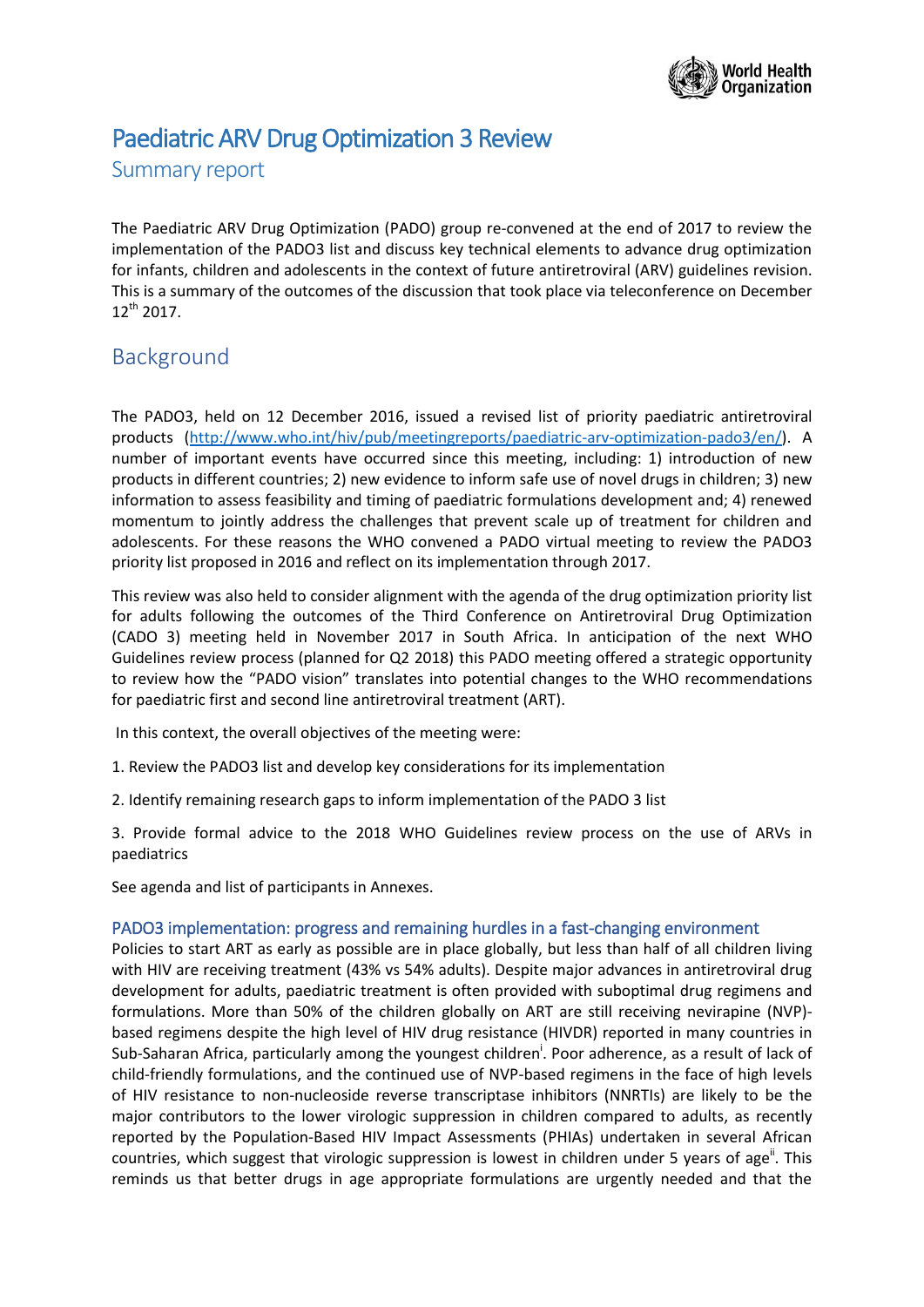

# Paediatric ARV Drug Optimization 3 Review

Summary report

The Paediatric ARV Drug Optimization (PADO) group re-convened at the end of 2017 to review the implementation of the PADO3 list and discuss key technical elements to advance drug optimization for infants, children and adolescents in the context of future antiretroviral (ARV) guidelines revision. This is a summary of the outcomes of the discussion that took place via teleconference on December  $12^{th}$  2017.

## Background

The PADO3, held on 12 December 2016, issued a revised list of priority paediatric antiretroviral products [\(http://www.who.int/hiv/pub/meetingreports/paediatric-arv-optimization-pado3/en/\)](http://www.who.int/hiv/pub/meetingreports/paediatric-arv-optimization-pado3/en/). A number of important events have occurred since this meeting, including: 1) introduction of new products in different countries; 2) new evidence to inform safe use of novel drugs in children; 3) new information to assess feasibility and timing of paediatric formulations development and; 4) renewed momentum to jointly address the challenges that prevent scale up of treatment for children and adolescents. For these reasons the WHO convened a PADO virtual meeting to review the PADO3 priority list proposed in 2016 and reflect on its implementation through 2017.

This review was also held to consider alignment with the agenda of the drug optimization priority list for adults following the outcomes of the Third Conference on Antiretroviral Drug Optimization (CADO 3) meeting held in November 2017 in South Africa. In anticipation of the next WHO Guidelines review process (planned for Q2 2018) this PADO meeting offered a strategic opportunity to review how the "PADO vision" translates into potential changes to the WHO recommendations for paediatric first and second line antiretroviral treatment (ART).

In this context, the overall objectives of the meeting were:

- 1. Review the PADO3 list and develop key considerations for its implementation
- 2. Identify remaining research gaps to inform implementation of the PADO 3 list

3. Provide formal advice to the 2018 WHO Guidelines review process on the use of ARVs in paediatrics

See agenda and list of participants in Annexes.

#### PADO3 implementation: progress and remaining hurdles in a fast-changing environment

Policies to start ART as early as possible are in place globally, but less than half of all children living with HIV are receiving treatment (43% vs 54% adults). Despite major advances in antiretroviral drug development for adults, paediatric treatment is often provided with suboptimal drug regimens and formulations. More than 50% of the children globally on ART are still receiving nevirapine (NVP) based regimens despite the high level of HIV drug resistance (HIVDR) reported in many countries in Sub-Saharan Africa, particularly among the youngest children<sup>i</sup>. Poor adherence, as a result of lack of child-friendly formulations, and the continued use of NVP-based regimens in the face of high levels of HIV resistance to non-nucleoside reverse transcriptase inhibitors (NNRTIs) are likely to be the major contributors to the lower virologic suppression in children compared to adults, as recently reported by the Population-Based HIV Impact Assessments (PHIAs) undertaken in several African countries, which suggest that virologic suppression is lowest in children under 5 years of age". This reminds us that better drugs in age appropriate formulations are urgently needed and that the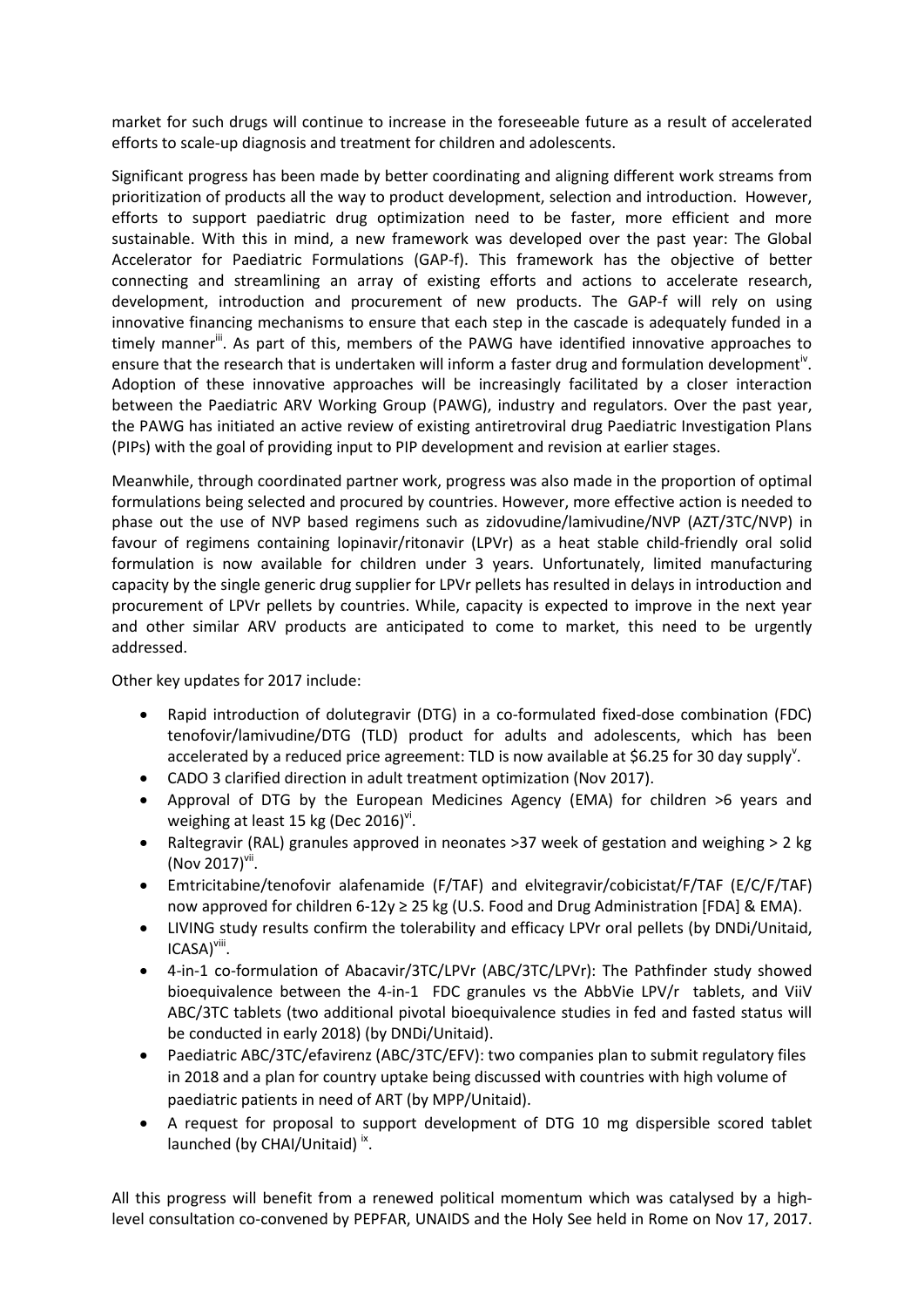market for such drugs will continue to increase in the foreseeable future as a result of accelerated efforts to scale-up diagnosis and treatment for children and adolescents.

Significant progress has been made by better coordinating and aligning different work streams from prioritization of products all the way to product development, selection and introduction. However, efforts to support paediatric drug optimization need to be faster, more efficient and more sustainable. With this in mind, a new framework was developed over the past year: The Global Accelerator for Paediatric Formulations (GAP-f). This framework has the objective of better connecting and streamlining an array of existing efforts and actions to accelerate research, development, introduction and procurement of new products. The GAP-f will rely on using innovative financing mechanisms to ensure that each step in the cascade is adequately funded in a timely manner<sup>ii</sup>. As part of this, members of the PAWG have identified innovative approaches to ensure that the research that is undertaken will inform a faster drug and formulation development<sup>iv</sup>. Adoption of these innovative approaches will be increasingly facilitated by a closer interaction between the Paediatric ARV Working Group (PAWG), industry and regulators. Over the past year, the PAWG has initiated an active review of existing antiretroviral drug Paediatric Investigation Plans (PIPs) with the goal of providing input to PIP development and revision at earlier stages.

Meanwhile, through coordinated partner work, progress was also made in the proportion of optimal formulations being selected and procured by countries. However, more effective action is needed to phase out the use of NVP based regimens such as zidovudine/lamivudine/NVP (AZT/3TC/NVP) in favour of regimens containing lopinavir/ritonavir (LPVr) as a heat stable child-friendly oral solid formulation is now available for children under 3 years. Unfortunately, limited manufacturing capacity by the single generic drug supplier for LPVr pellets has resulted in delays in introduction and procurement of LPVr pellets by countries. While, capacity is expected to improve in the next year and other similar ARV products are anticipated to come to market, this need to be urgently addressed.

Other key updates for 2017 include:

- Rapid introduction of dolutegravir (DTG) in a co-formulated fixed-dose combination (FDC) tenofovir/lamivudine/DTG (TLD) product for adults and adolescents, which has been accelerated by a reduced price agreement: TLD is now available at \$6.25 for 30 day supply<sup>v</sup>.
- CADO 3 clarified direction in adult treatment optimization (Nov 2017).
- Approval of DTG by the European Medicines Agency (EMA) for children >6 years and weighing at least 15 kg (Dec 2016)<sup>vi</sup>.
- Raltegravir (RAL) granules approved in neonates >37 week of gestation and weighing > 2 kg  $($ Nov 2017 $)$ <sup>vii</sup>.
- Emtricitabine/tenofovir alafenamide (F/TAF) and elvitegravir/cobicistat/F/TAF (E/C/F/TAF) now approved for children 6-12y ≥ 25 kg (U.S. Food and Drug Administration [FDA] & EMA).
- LIVING study results confirm the tolerability and efficacy LPVr oral pellets (by DNDi/Unitaid, ICASA)<sup>viii</sup>.
- 4-in-1 co-formulation of Abacavir/3TC/LPVr (ABC/3TC/LPVr): The Pathfinder study showed bioequivalence between the 4-in-1 FDC granules vs the AbbVie LPV/r tablets, and ViiV ABC/3TC tablets (two additional pivotal bioequivalence studies in fed and fasted status will be conducted in early 2018) (by DNDi/Unitaid).
- Paediatric ABC/3TC/efavirenz (ABC/3TC/EFV): two companies plan to submit regulatory files in 2018 and a plan for country uptake being discussed with countries with high volume of paediatric patients in need of ART (by MPP/Unitaid).
- A request for proposal to support development of DTG 10 mg dispersible scored tablet launched (by CHAI/Unitaid)<sup>ix</sup>.

All this progress will benefit from a renewed political momentum which was catalysed by a highlevel consultation co-convened by PEPFAR, UNAIDS and the Holy See held in Rome on Nov 17, 2017.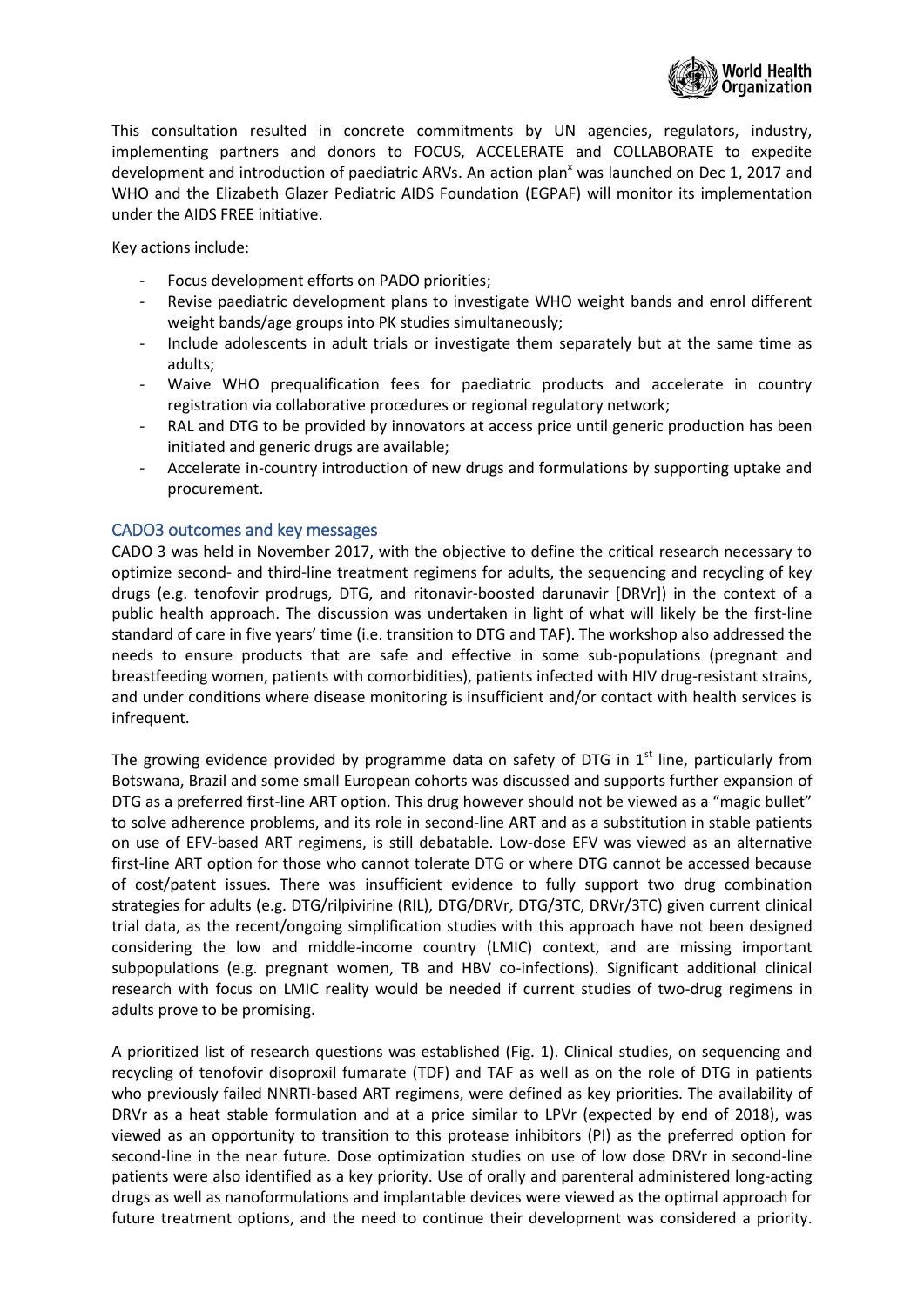

This consultation resulted in concrete commitments by UN agencies, regulators, industry, implementing partners and donors to FOCUS, ACCELERATE and COLLABORATE to expedite development and introduction of paediatric ARVs. An action plan<sup>x</sup> was launched on Dec 1, 2017 and WHO and the Elizabeth Glazer Pediatric AIDS Foundation (EGPAF) will monitor its implementation under the AIDS FREE initiative.

Key actions include:

- Focus development efforts on PADO priorities;
- Revise paediatric development plans to investigate WHO weight bands and enrol different weight bands/age groups into PK studies simultaneously;
- Include adolescents in adult trials or investigate them separately but at the same time as adults;
- Waive WHO prequalification fees for paediatric products and accelerate in country registration via collaborative procedures or regional regulatory network;
- RAL and DTG to be provided by innovators at access price until generic production has been initiated and generic drugs are available;
- Accelerate in-country introduction of new drugs and formulations by supporting uptake and procurement.

### CADO3 outcomes and key messages

CADO 3 was held in November 2017, with the objective to define the critical research necessary to optimize second- and third-line treatment regimens for adults, the sequencing and recycling of key drugs (e.g. tenofovir prodrugs, DTG, and ritonavir-boosted darunavir [DRVr]) in the context of a public health approach. The discussion was undertaken in light of what will likely be the first-line standard of care in five years' time (i.e. transition to DTG and TAF). The workshop also addressed the needs to ensure products that are safe and effective in some sub-populations (pregnant and breastfeeding women, patients with comorbidities), patients infected with HIV drug-resistant strains, and under conditions where disease monitoring is insufficient and/or contact with health services is infrequent.

The growing evidence provided by programme data on safety of DTG in  $1<sup>st</sup>$  line, particularly from Botswana, Brazil and some small European cohorts was discussed and supports further expansion of DTG as a preferred first-line ART option. This drug however should not be viewed as a "magic bullet" to solve adherence problems, and its role in second-line ART and as a substitution in stable patients on use of EFV-based ART regimens, is still debatable. Low-dose EFV was viewed as an alternative first-line ART option for those who cannot tolerate DTG or where DTG cannot be accessed because of cost/patent issues. There was insufficient evidence to fully support two drug combination strategies for adults (e.g. DTG/rilpivirine (RIL), DTG/DRVr, DTG/3TC, DRVr/3TC) given current clinical trial data, as the recent/ongoing simplification studies with this approach have not been designed considering the low and middle-income country (LMIC) context, and are missing important subpopulations (e.g. pregnant women, TB and HBV co-infections). Significant additional clinical research with focus on LMIC reality would be needed if current studies of two-drug regimens in adults prove to be promising.

A prioritized list of research questions was established (Fig. 1). Clinical studies, on sequencing and recycling of tenofovir disoproxil fumarate (TDF) and TAF as well as on the role of DTG in patients who previously failed NNRTI-based ART regimens, were defined as key priorities. The availability of DRVr as a heat stable formulation and at a price similar to LPVr (expected by end of 2018), was viewed as an opportunity to transition to this protease inhibitors (PI) as the preferred option for second-line in the near future. Dose optimization studies on use of low dose DRVr in second-line patients were also identified as a key priority. Use of orally and parenteral administered long-acting drugs as well as nanoformulations and implantable devices were viewed as the optimal approach for future treatment options, and the need to continue their development was considered a priority.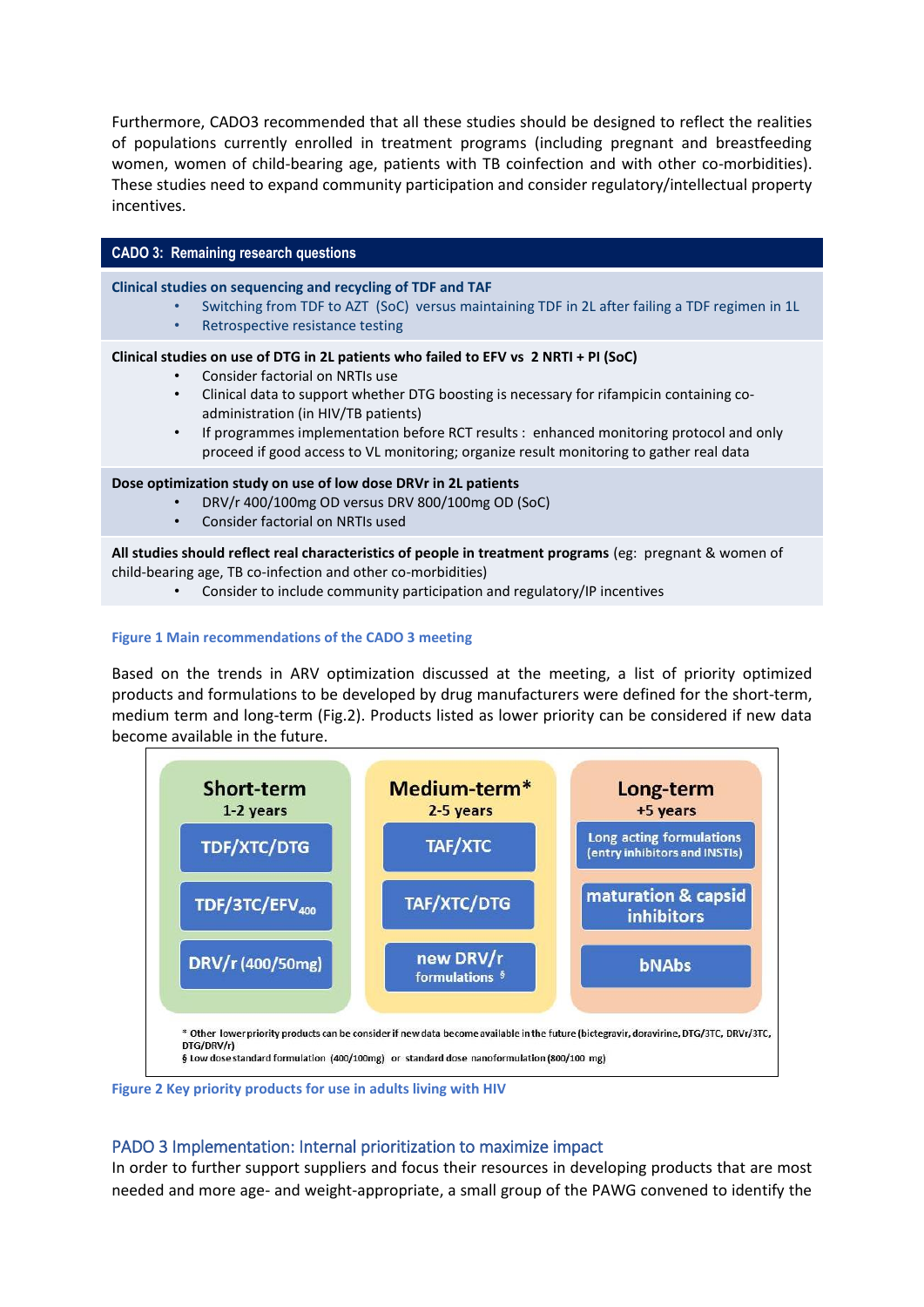Furthermore, CADO3 recommended that all these studies should be designed to reflect the realities of populations currently enrolled in treatment programs (including pregnant and breastfeeding women, women of child-bearing age, patients with TB coinfection and with other co-morbidities). These studies need to expand community participation and consider regulatory/intellectual property incentives.

#### **CADO 3: Remaining research questions**

**Clinical studies on sequencing and recycling of TDF and TAF** 

- Switching from TDF to AZT (SoC) versus maintaining TDF in 2L after failing a TDF regimen in 1L
- Retrospective resistance testing

#### **Clinical studies on use of DTG in 2L patients who failed to EFV vs 2 NRTI + PI (SoC)**

- Consider factorial on NRTIs use
- Clinical data to support whether DTG boosting is necessary for rifampicin containing coadministration (in HIV/TB patients)
- If programmes implementation before RCT results : enhanced monitoring protocol and only proceed if good access to VL monitoring; organize result monitoring to gather real data

#### **Dose optimization study on use of low dose DRVr in 2L patients**

- DRV/r 400/100mg OD versus DRV 800/100mg OD (SoC)
- Consider factorial on NRTIs used

**All studies should reflect real characteristics of people in treatment programs** (eg: pregnant & women of child-bearing age, TB co-infection and other co-morbidities)

• Consider to include community participation and regulatory/IP incentives

#### **Figure 1 Main recommendations of the CADO 3 meeting**

Based on the trends in ARV optimization discussed at the meeting, a list of priority optimized products and formulations to be developed by drug manufacturers were defined for the short-term, medium term and long-term (Fig.2). Products listed as lower priority can be considered if new data become available in the future.



**Figure 2 Key priority products for use in adults living with HIV**

## PADO 3 Implementation: Internal prioritization to maximize impact

In order to further support suppliers and focus their resources in developing products that are most needed and more age- and weight-appropriate, a small group of the PAWG convened to identify the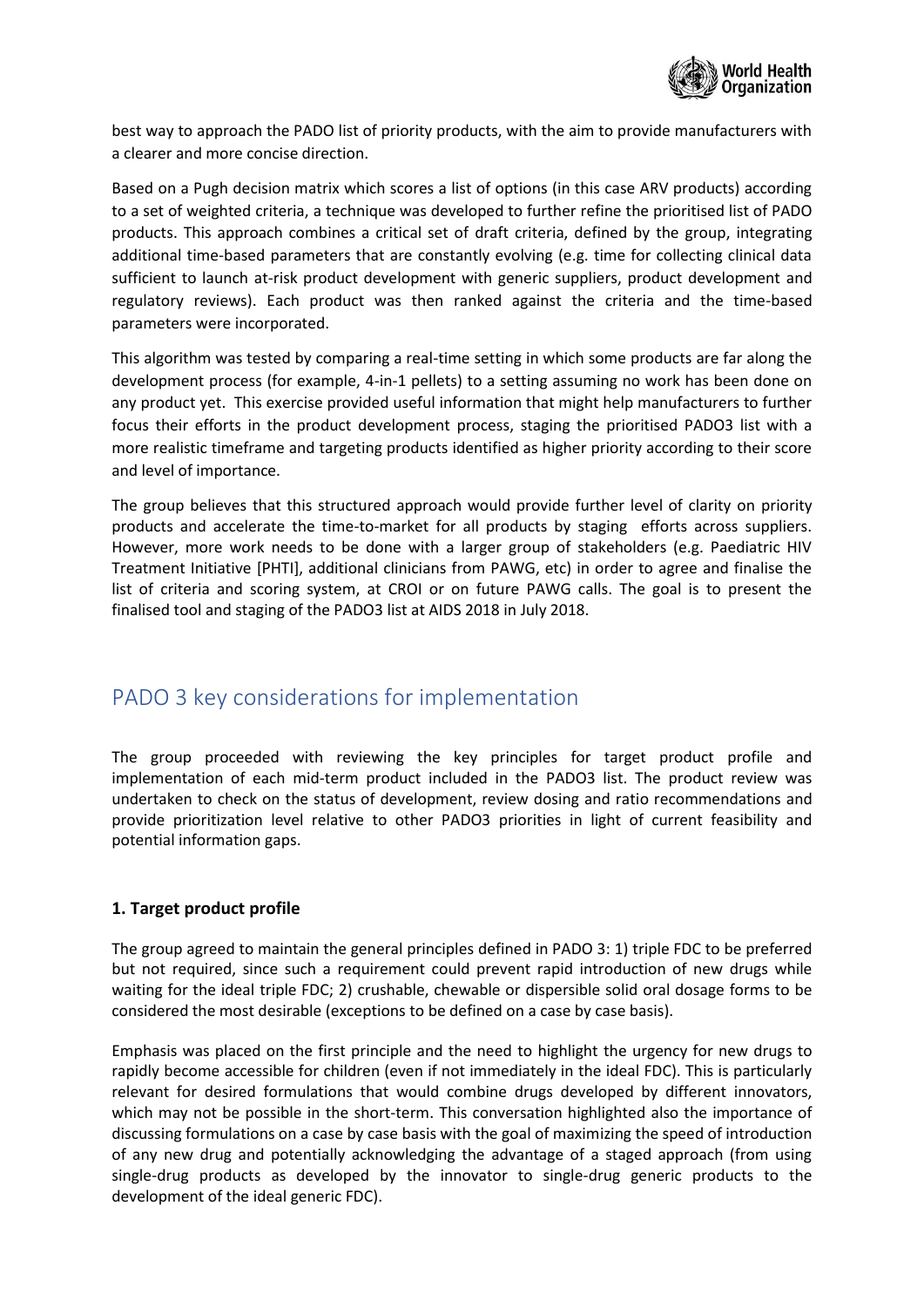

best way to approach the PADO list of priority products, with the aim to provide manufacturers with a clearer and more concise direction.

Based on a Pugh decision matrix which scores a list of options (in this case ARV products) according to a set of weighted criteria, a technique was developed to further refine the prioritised list of PADO products. This approach combines a critical set of draft criteria, defined by the group, integrating additional time-based parameters that are constantly evolving (e.g. time for collecting clinical data sufficient to launch at-risk product development with generic suppliers, product development and regulatory reviews). Each product was then ranked against the criteria and the time-based parameters were incorporated.

This algorithm was tested by comparing a real-time setting in which some products are far along the development process (for example, 4-in-1 pellets) to a setting assuming no work has been done on any product yet. This exercise provided useful information that might help manufacturers to further focus their efforts in the product development process, staging the prioritised PADO3 list with a more realistic timeframe and targeting products identified as higher priority according to their score and level of importance.

The group believes that this structured approach would provide further level of clarity on priority products and accelerate the time-to-market for all products by staging efforts across suppliers. However, more work needs to be done with a larger group of stakeholders (e.g. Paediatric HIV Treatment Initiative [PHTI], additional clinicians from PAWG, etc) in order to agree and finalise the list of criteria and scoring system, at CROI or on future PAWG calls. The goal is to present the finalised tool and staging of the PADO3 list at AIDS 2018 in July 2018.

## PADO 3 key considerations for implementation

The group proceeded with reviewing the key principles for target product profile and implementation of each mid-term product included in the PADO3 list. The product review was undertaken to check on the status of development, review dosing and ratio recommendations and provide prioritization level relative to other PADO3 priorities in light of current feasibility and potential information gaps.

## **1. Target product profile**

The group agreed to maintain the general principles defined in PADO 3: 1) triple FDC to be preferred but not required, since such a requirement could prevent rapid introduction of new drugs while waiting for the ideal triple FDC; 2) crushable, chewable or dispersible solid oral dosage forms to be considered the most desirable (exceptions to be defined on a case by case basis).

Emphasis was placed on the first principle and the need to highlight the urgency for new drugs to rapidly become accessible for children (even if not immediately in the ideal FDC). This is particularly relevant for desired formulations that would combine drugs developed by different innovators, which may not be possible in the short-term. This conversation highlighted also the importance of discussing formulations on a case by case basis with the goal of maximizing the speed of introduction of any new drug and potentially acknowledging the advantage of a staged approach (from using single-drug products as developed by the innovator to single-drug generic products to the development of the ideal generic FDC).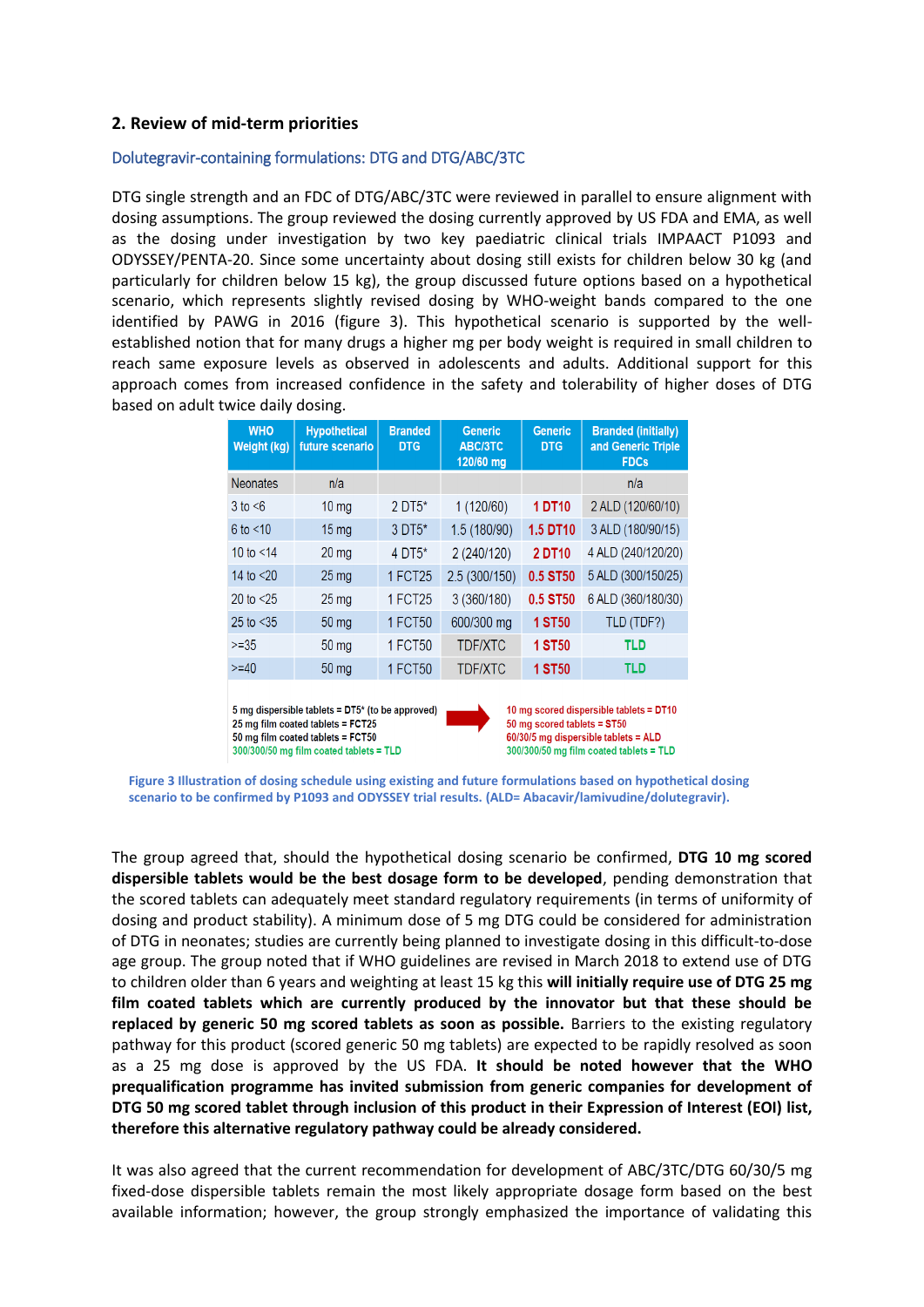### **2. Review of mid-term priorities**

#### Dolutegravir-containing formulations: DTG and DTG/ABC/3TC

DTG single strength and an FDC of DTG/ABC/3TC were reviewed in parallel to ensure alignment with dosing assumptions. The group reviewed the dosing currently approved by US FDA and EMA, as well as the dosing under investigation by two key paediatric clinical trials IMPAACT P1093 and ODYSSEY/PENTA-20. Since some uncertainty about dosing still exists for children below 30 kg (and particularly for children below 15 kg), the group discussed future options based on a hypothetical scenario, which represents slightly revised dosing by WHO-weight bands compared to the one identified by PAWG in 2016 (figure 3). This hypothetical scenario is supported by the wellestablished notion that for many drugs a higher mg per body weight is required in small children to reach same exposure levels as observed in adolescents and adults. Additional support for this approach comes from increased confidence in the safety and tolerability of higher doses of DTG based on adult twice daily dosing.

| <b>WHO</b><br>Weight (kg) | <b>Hypothetical</b><br>future scenario | <b>Branded</b><br><b>DTG</b> | <b>Generic</b><br>ABC/3TC<br>120/60 mg | <b>Generic</b><br><b>DTG</b> | <b>Branded (initially)</b><br>and Generic Triple<br><b>FDCs</b> |
|---------------------------|----------------------------------------|------------------------------|----------------------------------------|------------------------------|-----------------------------------------------------------------|
| <b>Neonates</b>           | n/a                                    |                              |                                        |                              | n/a                                                             |
| $3$ to $\leq 6$           | $10 \text{ mg}$                        | $2$ DT5*                     | 1 (120/60)                             | 1 DT <sub>10</sub>           | 2 ALD (120/60/10)                                               |
| 6 to < 10                 | 15 <sub>mg</sub>                       | $3$ DT $5*$                  | 1.5 (180/90)                           | 1.5 DT10                     | 3 ALD (180/90/15)                                               |
| 10 to $<$ 14              | 20 <sub>mg</sub>                       | $4$ DT5*                     | 2 (240/120)                            | 2 DT10                       | 4 ALD (240/120/20)                                              |
| 14 to $< 20$              | 25 <sub>mg</sub>                       | 1 FCT25                      | 2.5(300/150)                           | 0.5 ST50                     | 5 ALD (300/150/25)                                              |
| 20 to $< 25$              | $25 \text{ mg}$                        | 1 FCT25                      | 3 (360/180)                            | 0.5 ST50                     | 6 ALD (360/180/30)                                              |
| 25 to $<$ 35              | 50 <sub>mg</sub>                       | 1 FCT50                      | 600/300 mg                             | <b>1 ST50</b>                | TLD (TDF?)                                                      |
| $>= 35$                   | 50 <sub>mg</sub>                       | 1 FCT50                      | <b>TDF/XTC</b>                         | <b>1 ST50</b>                | TLD                                                             |
| $>=$ 40                   | 50 <sub>mg</sub>                       | 1 FCT50                      | <b>TDF/XTC</b>                         | <b>1 ST50</b>                | <b>TLD</b>                                                      |

5 mg dispersible tablets = DT5\* (to be approved) 25 mg film coated tablets = FCT25 50 mg film coated tablets = FCT50  $300/300/50$  mg film coated tablets = TLD

10 mg scored dispersible tablets = DT10 50 mg scored tablets = ST50 60/30/5 mg dispersible tablets = ALD  $300/300/50$  mg film coated tablets = TLD

**Figure 3 Illustration of dosing schedule using existing and future formulations based on hypothetical dosing scenario to be confirmed by P1093 and ODYSSEY trial results. (ALD= Abacavir/lamivudine/dolutegravir).**

The group agreed that, should the hypothetical dosing scenario be confirmed, **DTG 10 mg scored dispersible tablets would be the best dosage form to be developed**, pending demonstration that the scored tablets can adequately meet standard regulatory requirements (in terms of uniformity of dosing and product stability). A minimum dose of 5 mg DTG could be considered for administration of DTG in neonates; studies are currently being planned to investigate dosing in this difficult-to-dose age group. The group noted that if WHO guidelines are revised in March 2018 to extend use of DTG to children older than 6 years and weighting at least 15 kg this **will initially require use of DTG 25 mg film coated tablets which are currently produced by the innovator but that these should be replaced by generic 50 mg scored tablets as soon as possible.** Barriers to the existing regulatory pathway for this product (scored generic 50 mg tablets) are expected to be rapidly resolved as soon as a 25 mg dose is approved by the US FDA. **It should be noted however that the WHO prequalification programme has invited submission from generic companies for development of DTG 50 mg scored tablet through inclusion of this product in their Expression of Interest (EOI) list, therefore this alternative regulatory pathway could be already considered.**

It was also agreed that the current recommendation for development of ABC/3TC/DTG 60/30/5 mg fixed-dose dispersible tablets remain the most likely appropriate dosage form based on the best available information; however, the group strongly emphasized the importance of validating this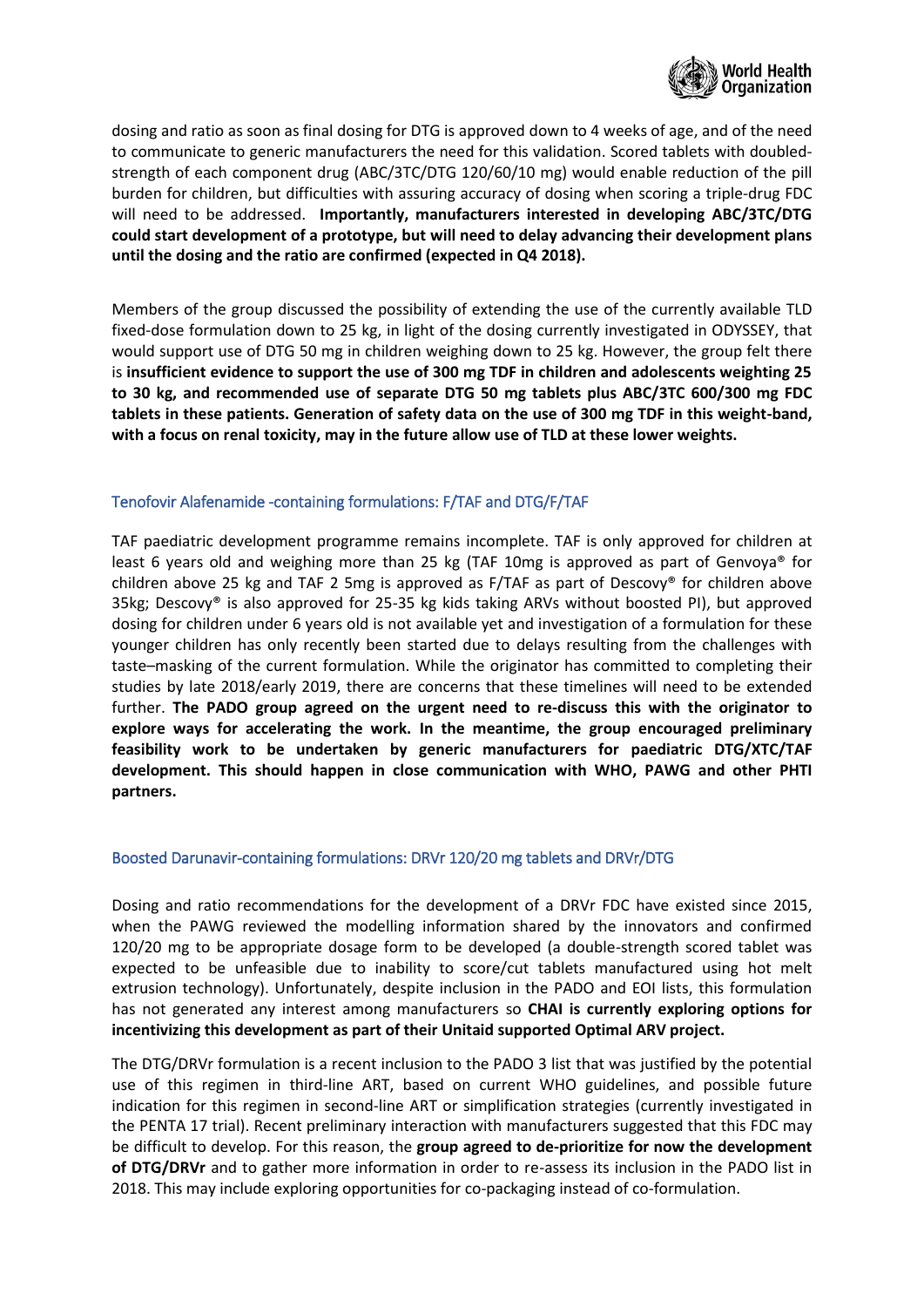

dosing and ratio as soon as final dosing for DTG is approved down to 4 weeks of age, and of the need to communicate to generic manufacturers the need for this validation. Scored tablets with doubledstrength of each component drug (ABC/3TC/DTG 120/60/10 mg) would enable reduction of the pill burden for children, but difficulties with assuring accuracy of dosing when scoring a triple-drug FDC will need to be addressed. **Importantly, manufacturers interested in developing ABC/3TC/DTG could start development of a prototype, but will need to delay advancing their development plans until the dosing and the ratio are confirmed (expected in Q4 2018).**

Members of the group discussed the possibility of extending the use of the currently available TLD fixed-dose formulation down to 25 kg, in light of the dosing currently investigated in ODYSSEY, that would support use of DTG 50 mg in children weighing down to 25 kg. However, the group felt there is **insufficient evidence to support the use of 300 mg TDF in children and adolescents weighting 25 to 30 kg, and recommended use of separate DTG 50 mg tablets plus ABC/3TC 600/300 mg FDC tablets in these patients. Generation of safety data on the use of 300 mg TDF in this weight-band, with a focus on renal toxicity, may in the future allow use of TLD at these lower weights.**

#### Tenofovir Alafenamide -containing formulations: F/TAF and DTG/F/TAF

TAF paediatric development programme remains incomplete. TAF is only approved for children at least 6 years old and weighing more than 25 kg (TAF 10mg is approved as part of Genvoya® for children above 25 kg and TAF 2 5mg is approved as F/TAF as part of Descovy® for children above 35kg; Descovy® is also approved for 25-35 kg kids taking ARVs without boosted PI), but approved dosing for children under 6 years old is not available yet and investigation of a formulation for these younger children has only recently been started due to delays resulting from the challenges with taste–masking of the current formulation. While the originator has committed to completing their studies by late 2018/early 2019, there are concerns that these timelines will need to be extended further. **The PADO group agreed on the urgent need to re-discuss this with the originator to explore ways for accelerating the work. In the meantime, the group encouraged preliminary feasibility work to be undertaken by generic manufacturers for paediatric DTG/XTC/TAF development. This should happen in close communication with WHO, PAWG and other PHTI partners.**

#### Boosted Darunavir-containing formulations: DRVr 120/20 mg tablets and DRVr/DTG

Dosing and ratio recommendations for the development of a DRVr FDC have existed since 2015, when the PAWG reviewed the modelling information shared by the innovators and confirmed 120/20 mg to be appropriate dosage form to be developed (a double-strength scored tablet was expected to be unfeasible due to inability to score/cut tablets manufactured using hot melt extrusion technology). Unfortunately, despite inclusion in the PADO and EOI lists, this formulation has not generated any interest among manufacturers so **CHAI is currently exploring options for incentivizing this development as part of their Unitaid supported Optimal ARV project.** 

The DTG/DRVr formulation is a recent inclusion to the PADO 3 list that was justified by the potential use of this regimen in third-line ART, based on current WHO guidelines, and possible future indication for this regimen in second-line ART or simplification strategies (currently investigated in the PENTA 17 trial). Recent preliminary interaction with manufacturers suggested that this FDC may be difficult to develop. For this reason, the **group agreed to de-prioritize for now the development of DTG/DRVr** and to gather more information in order to re-assess its inclusion in the PADO list in 2018. This may include exploring opportunities for co-packaging instead of co-formulation.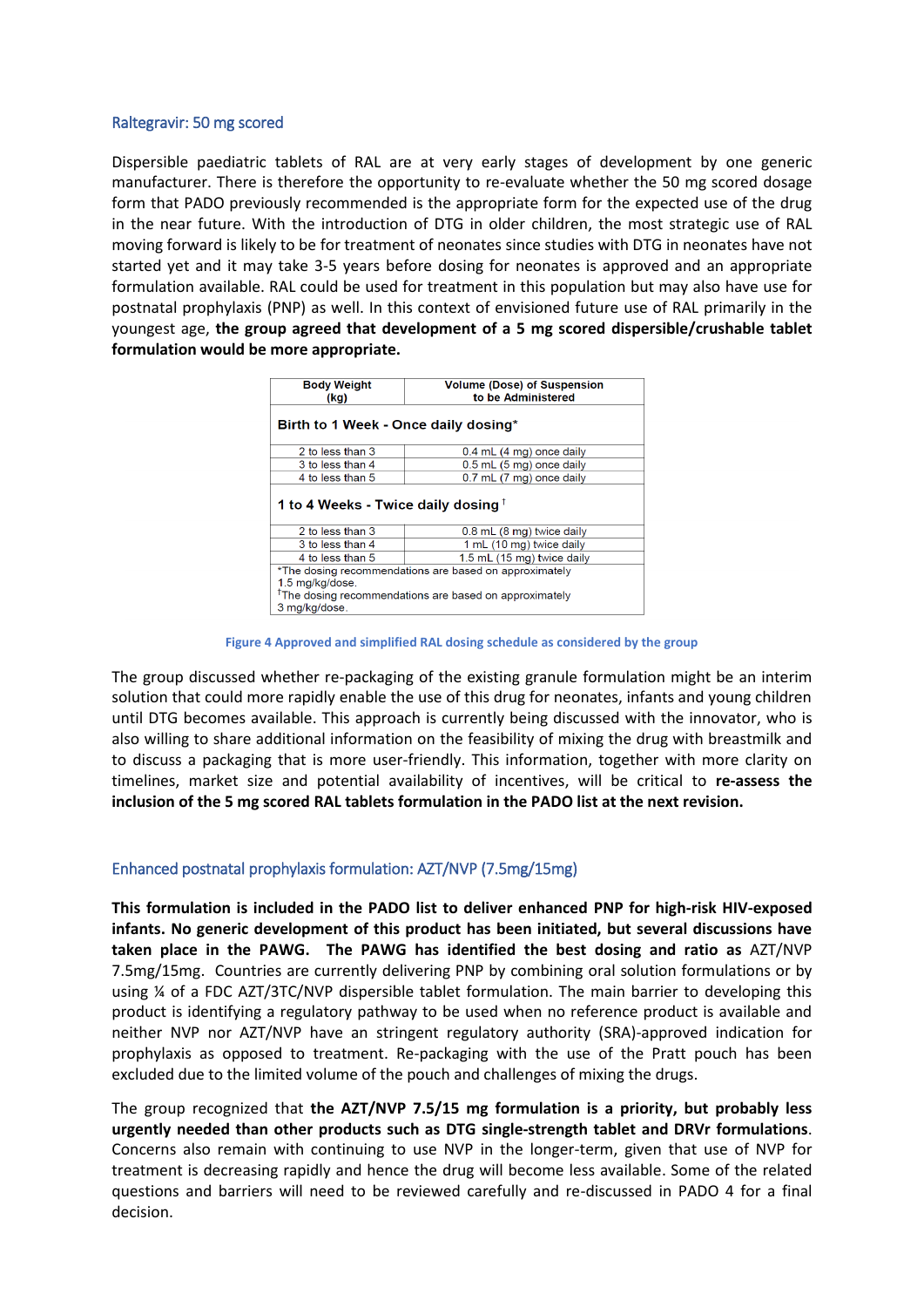#### Raltegravir: 50 mg scored

Dispersible paediatric tablets of RAL are at very early stages of development by one generic manufacturer. There is therefore the opportunity to re-evaluate whether the 50 mg scored dosage form that PADO previously recommended is the appropriate form for the expected use of the drug in the near future. With the introduction of DTG in older children, the most strategic use of RAL moving forward is likely to be for treatment of neonates since studies with DTG in neonates have not started yet and it may take 3-5 years before dosing for neonates is approved and an appropriate formulation available. RAL could be used for treatment in this population but may also have use for postnatal prophylaxis (PNP) as well. In this context of envisioned future use of RAL primarily in the youngest age, **the group agreed that development of a 5 mg scored dispersible/crushable tablet formulation would be more appropriate.**

| <b>Body Weight</b><br>(kq)                                                                                                                                       | <b>Volume (Dose) of Suspension</b><br>to be Administered |  |  |  |
|------------------------------------------------------------------------------------------------------------------------------------------------------------------|----------------------------------------------------------|--|--|--|
| Birth to 1 Week - Once daily dosing*                                                                                                                             |                                                          |  |  |  |
| 2 to less than 3                                                                                                                                                 | $0.4$ mL $(4 \text{ mg})$ once daily                     |  |  |  |
| 3 to less than 4                                                                                                                                                 | 0.5 mL (5 mg) once daily                                 |  |  |  |
| 4 to less than 5                                                                                                                                                 | 0.7 mL (7 mg) once daily                                 |  |  |  |
| 1 to 4 Weeks - Twice daily dosing $^{\dagger}$                                                                                                                   |                                                          |  |  |  |
| 2 to less than 3                                                                                                                                                 | 0.8 mL (8 mg) twice daily                                |  |  |  |
| 3 to less than 4                                                                                                                                                 | 1 mL (10 mg) twice daily                                 |  |  |  |
| 4 to less than 5                                                                                                                                                 | 1.5 mL (15 mg) twice daily                               |  |  |  |
| *The dosing recommendations are based on approximately<br>1.5 mg/kg/dose.<br><sup>†</sup> The dosing recommendations are based on approximately<br>3 mg/kg/dose. |                                                          |  |  |  |

**Figure 4 Approved and simplified RAL dosing schedule as considered by the group**

The group discussed whether re-packaging of the existing granule formulation might be an interim solution that could more rapidly enable the use of this drug for neonates, infants and young children until DTG becomes available. This approach is currently being discussed with the innovator, who is also willing to share additional information on the feasibility of mixing the drug with breastmilk and to discuss a packaging that is more user-friendly. This information, together with more clarity on timelines, market size and potential availability of incentives, will be critical to **re-assess the inclusion of the 5 mg scored RAL tablets formulation in the PADO list at the next revision.** 

#### Enhanced postnatal prophylaxis formulation: AZT/NVP (7.5mg/15mg)

**This formulation is included in the PADO list to deliver enhanced PNP for high-risk HIV-exposed infants. No generic development of this product has been initiated, but several discussions have taken place in the PAWG. The PAWG has identified the best dosing and ratio as** AZT/NVP 7.5mg/15mg. Countries are currently delivering PNP by combining oral solution formulations or by using ¼ of a FDC AZT/3TC/NVP dispersible tablet formulation. The main barrier to developing this product is identifying a regulatory pathway to be used when no reference product is available and neither NVP nor AZT/NVP have an stringent regulatory authority (SRA)-approved indication for prophylaxis as opposed to treatment. Re-packaging with the use of the Pratt pouch has been excluded due to the limited volume of the pouch and challenges of mixing the drugs.

The group recognized that **the AZT/NVP 7.5/15 mg formulation is a priority, but probably less urgently needed than other products such as DTG single-strength tablet and DRVr formulations**. Concerns also remain with continuing to use NVP in the longer-term, given that use of NVP for treatment is decreasing rapidly and hence the drug will become less available. Some of the related questions and barriers will need to be reviewed carefully and re-discussed in PADO 4 for a final decision.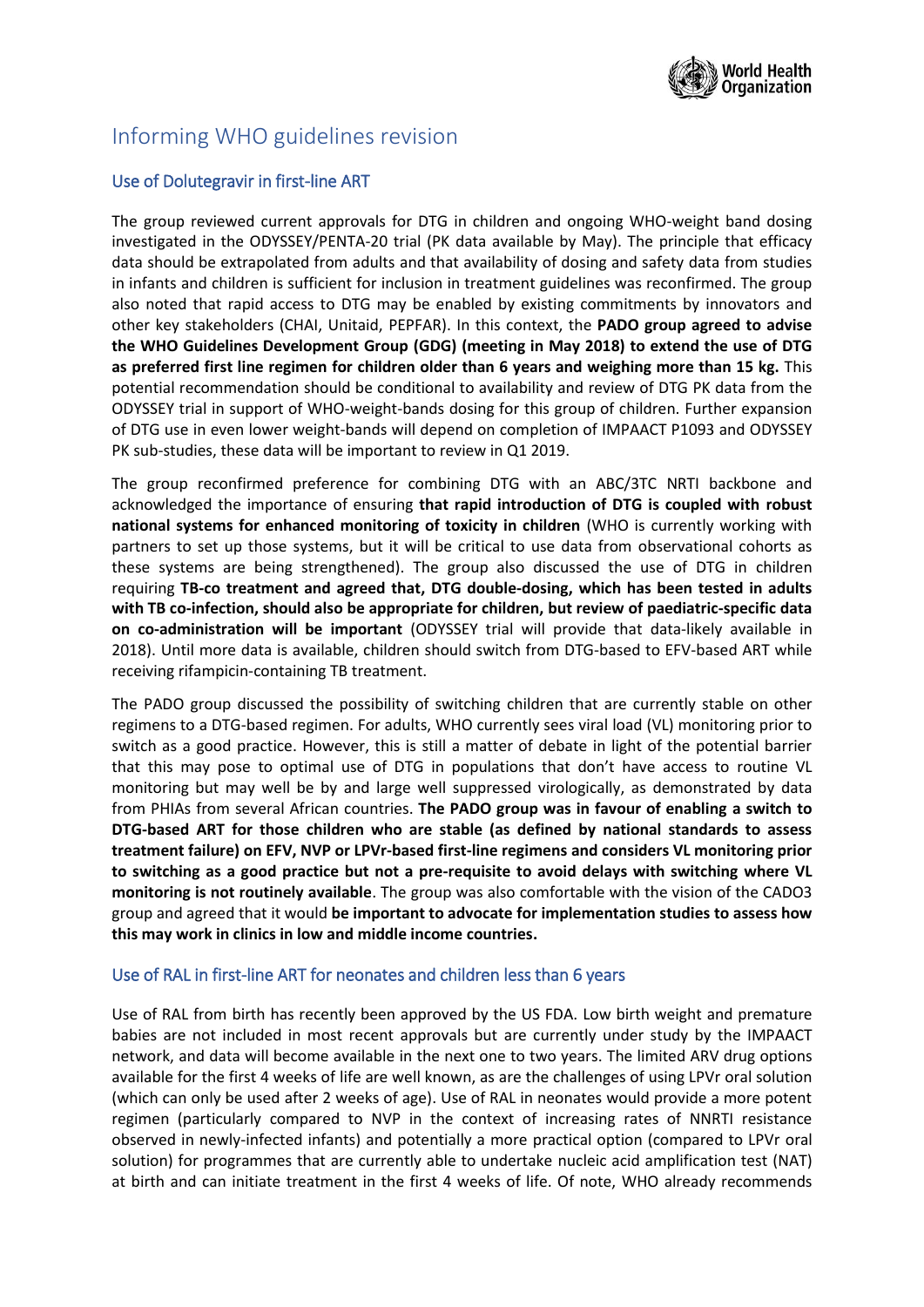

## Informing WHO guidelines revision

## Use of Dolutegravir in first-line ART

The group reviewed current approvals for DTG in children and ongoing WHO-weight band dosing investigated in the ODYSSEY/PENTA-20 trial (PK data available by May). The principle that efficacy data should be extrapolated from adults and that availability of dosing and safety data from studies in infants and children is sufficient for inclusion in treatment guidelines was reconfirmed. The group also noted that rapid access to DTG may be enabled by existing commitments by innovators and other key stakeholders (CHAI, Unitaid, PEPFAR). In this context, the **PADO group agreed to advise the WHO Guidelines Development Group (GDG) (meeting in May 2018) to extend the use of DTG as preferred first line regimen for children older than 6 years and weighing more than 15 kg.** This potential recommendation should be conditional to availability and review of DTG PK data from the ODYSSEY trial in support of WHO-weight-bands dosing for this group of children. Further expansion of DTG use in even lower weight-bands will depend on completion of IMPAACT P1093 and ODYSSEY PK sub-studies, these data will be important to review in Q1 2019.

The group reconfirmed preference for combining DTG with an ABC/3TC NRTI backbone and acknowledged the importance of ensuring **that rapid introduction of DTG is coupled with robust national systems for enhanced monitoring of toxicity in children** (WHO is currently working with partners to set up those systems, but it will be critical to use data from observational cohorts as these systems are being strengthened). The group also discussed the use of DTG in children requiring **TB-co treatment and agreed that, DTG double-dosing, which has been tested in adults with TB co-infection, should also be appropriate for children, but review of paediatric-specific data on co-administration will be important** (ODYSSEY trial will provide that data-likely available in 2018). Until more data is available, children should switch from DTG-based to EFV-based ART while receiving rifampicin-containing TB treatment.

The PADO group discussed the possibility of switching children that are currently stable on other regimens to a DTG-based regimen. For adults, WHO currently sees viral load (VL) monitoring prior to switch as a good practice. However, this is still a matter of debate in light of the potential barrier that this may pose to optimal use of DTG in populations that don't have access to routine VL monitoring but may well be by and large well suppressed virologically, as demonstrated by data from PHIAs from several African countries. **The PADO group was in favour of enabling a switch to DTG-based ART for those children who are stable (as defined by national standards to assess treatment failure) on EFV, NVP or LPVr-based first-line regimens and considers VL monitoring prior to switching as a good practice but not a pre-requisite to avoid delays with switching where VL monitoring is not routinely available**. The group was also comfortable with the vision of the CADO3 group and agreed that it would **be important to advocate for implementation studies to assess how this may work in clinics in low and middle income countries.**

## Use of RAL in first-line ART for neonates and children less than 6 years

Use of RAL from birth has recently been approved by the US FDA. Low birth weight and premature babies are not included in most recent approvals but are currently under study by the IMPAACT network, and data will become available in the next one to two years. The limited ARV drug options available for the first 4 weeks of life are well known, as are the challenges of using LPVr oral solution (which can only be used after 2 weeks of age). Use of RAL in neonates would provide a more potent regimen (particularly compared to NVP in the context of increasing rates of NNRTI resistance observed in newly-infected infants) and potentially a more practical option (compared to LPVr oral solution) for programmes that are currently able to undertake nucleic acid amplification test (NAT) at birth and can initiate treatment in the first 4 weeks of life. Of note, WHO already recommends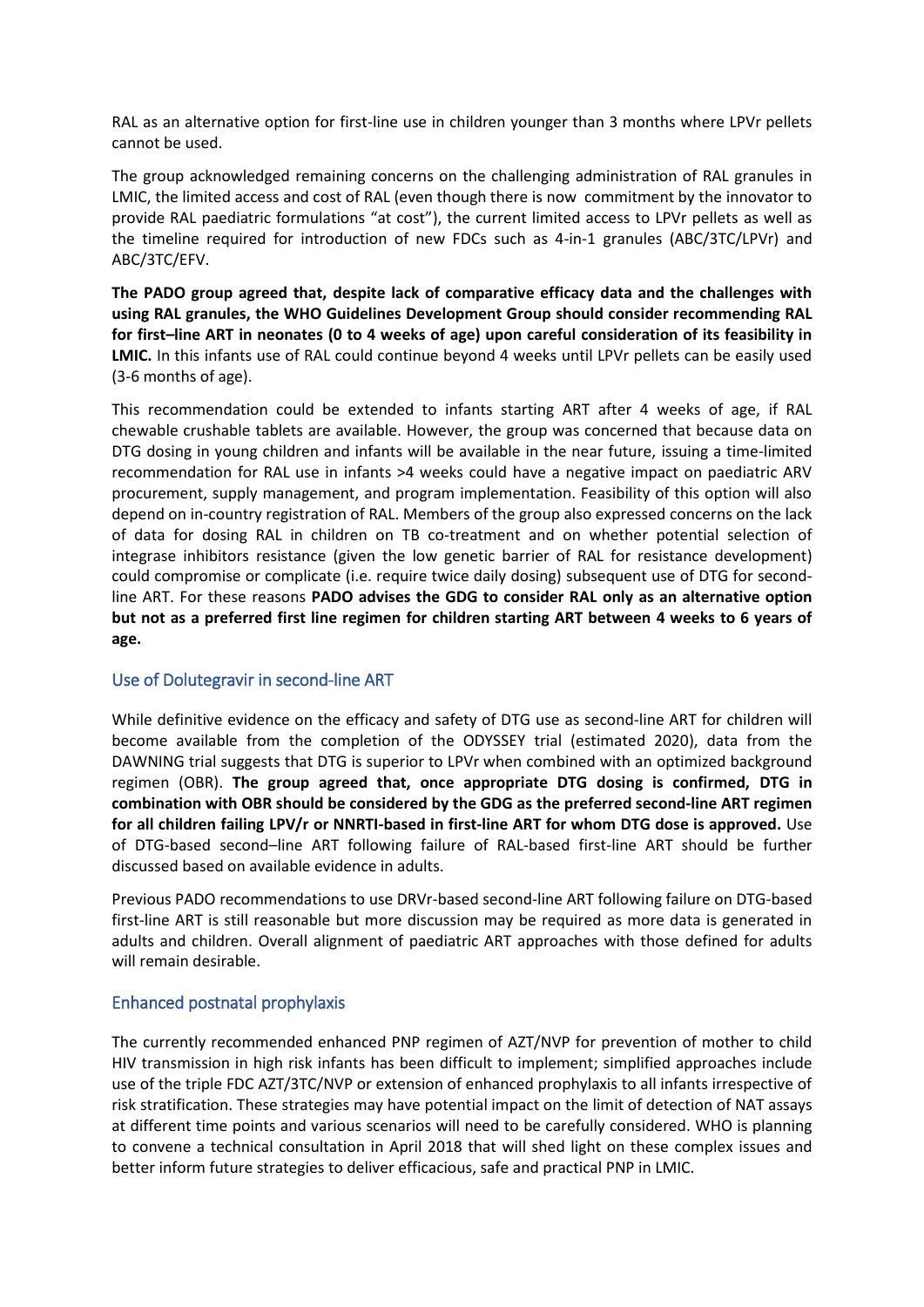RAL as an alternative option for first-line use in children younger than 3 months where LPVr pellets cannot be used.

The group acknowledged remaining concerns on the challenging administration of RAL granules in LMIC, the limited access and cost of RAL (even though there is now commitment by the innovator to provide RAL paediatric formulations "at cost"), the current limited access to LPVr pellets as well as the timeline required for introduction of new FDCs such as 4-in-1 granules (ABC/3TC/LPVr) and ABC/3TC/EFV.

**The PADO group agreed that, despite lack of comparative efficacy data and the challenges with using RAL granules, the WHO Guidelines Development Group should consider recommending RAL for first–line ART in neonates (0 to 4 weeks of age) upon careful consideration of its feasibility in LMIC.** In this infants use of RAL could continue beyond 4 weeks until LPVr pellets can be easily used (3-6 months of age).

This recommendation could be extended to infants starting ART after 4 weeks of age, if RAL chewable crushable tablets are available. However, the group was concerned that because data on DTG dosing in young children and infants will be available in the near future, issuing a time-limited recommendation for RAL use in infants >4 weeks could have a negative impact on paediatric ARV procurement, supply management, and program implementation. Feasibility of this option will also depend on in-country registration of RAL. Members of the group also expressed concerns on the lack of data for dosing RAL in children on TB co-treatment and on whether potential selection of integrase inhibitors resistance (given the low genetic barrier of RAL for resistance development) could compromise or complicate (i.e. require twice daily dosing) subsequent use of DTG for secondline ART. For these reasons **PADO advises the GDG to consider RAL only as an alternative option but not as a preferred first line regimen for children starting ART between 4 weeks to 6 years of age.**

## Use of Dolutegravir in second-line ART

While definitive evidence on the efficacy and safety of DTG use as second-line ART for children will become available from the completion of the ODYSSEY trial (estimated 2020), data from the DAWNING trial suggests that DTG is superior to LPVr when combined with an optimized background regimen (OBR). **The group agreed that, once appropriate DTG dosing is confirmed, DTG in combination with OBR should be considered by the GDG as the preferred second-line ART regimen for all children failing LPV/r or NNRTI-based in first-line ART for whom DTG dose is approved.** Use of DTG-based second–line ART following failure of RAL-based first-line ART should be further discussed based on available evidence in adults.

Previous PADO recommendations to use DRVr-based second-line ART following failure on DTG-based first-line ART is still reasonable but more discussion may be required as more data is generated in adults and children. Overall alignment of paediatric ART approaches with those defined for adults will remain desirable.

#### Enhanced postnatal prophylaxis

The currently recommended enhanced PNP regimen of AZT/NVP for prevention of mother to child HIV transmission in high risk infants has been difficult to implement; simplified approaches include use of the triple FDC AZT/3TC/NVP or extension of enhanced prophylaxis to all infants irrespective of risk stratification. These strategies may have potential impact on the limit of detection of NAT assays at different time points and various scenarios will need to be carefully considered. WHO is planning to convene a technical consultation in April 2018 that will shed light on these complex issues and better inform future strategies to deliver efficacious, safe and practical PNP in LMIC.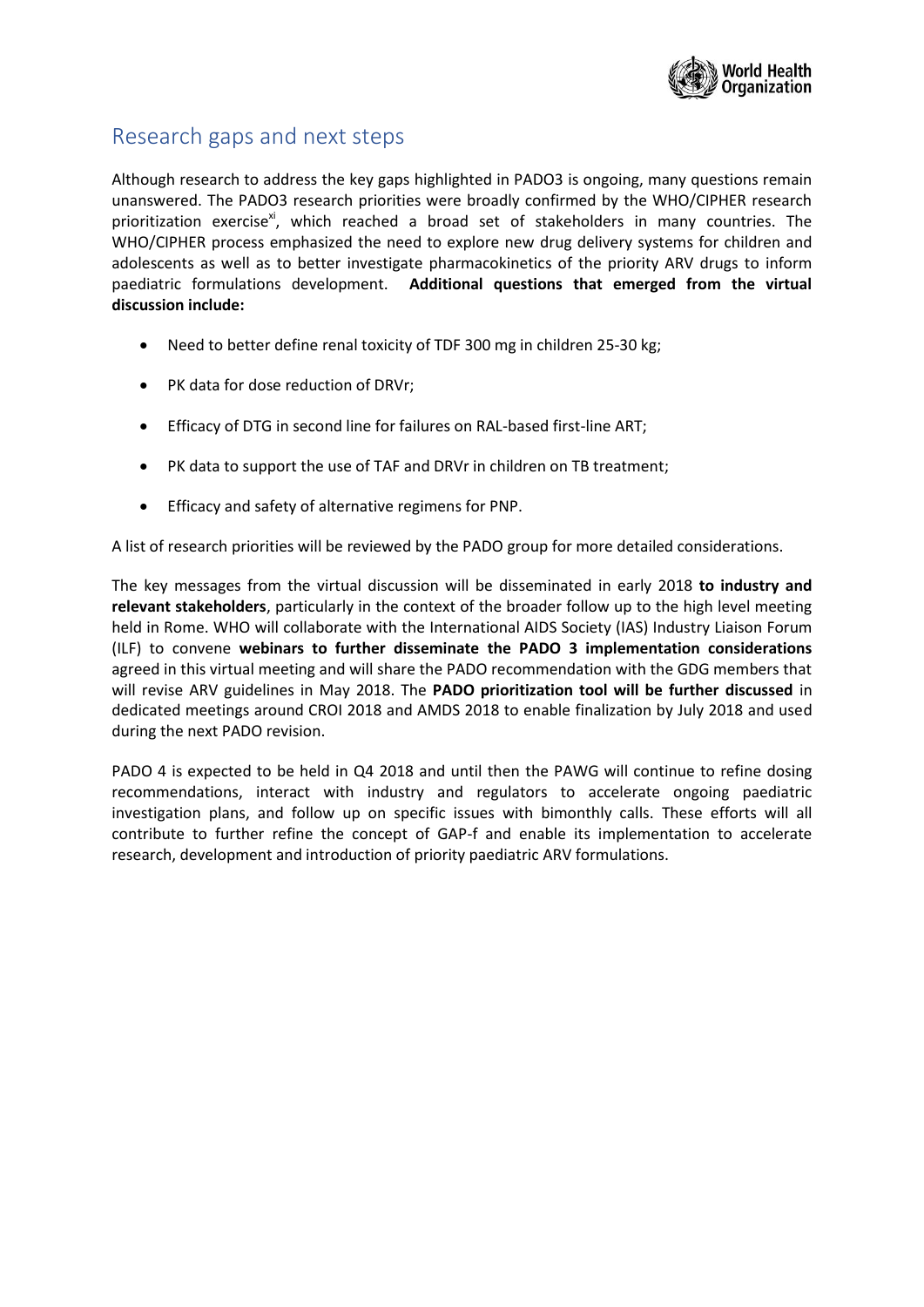

## Research gaps and next steps

Although research to address the key gaps highlighted in PADO3 is ongoing, many questions remain unanswered. The PADO3 research priorities were broadly confirmed by the WHO/CIPHER research prioritization exercise<sup>xi</sup>, which reached a broad set of stakeholders in many countries. The WHO/CIPHER process emphasized the need to explore new drug delivery systems for children and adolescents as well as to better investigate pharmacokinetics of the priority ARV drugs to inform paediatric formulations development. **Additional questions that emerged from the virtual discussion include:** 

- Need to better define renal toxicity of TDF 300 mg in children 25-30 kg;
- PK data for dose reduction of DRVr;
- Efficacy of DTG in second line for failures on RAL-based first-line ART;
- PK data to support the use of TAF and DRVr in children on TB treatment;
- Efficacy and safety of alternative regimens for PNP.

A list of research priorities will be reviewed by the PADO group for more detailed considerations.

The key messages from the virtual discussion will be disseminated in early 2018 **to industry and relevant stakeholders**, particularly in the context of the broader follow up to the high level meeting held in Rome. WHO will collaborate with the International AIDS Society (IAS) Industry Liaison Forum (ILF) to convene **webinars to further disseminate the PADO 3 implementation considerations** agreed in this virtual meeting and will share the PADO recommendation with the GDG members that will revise ARV guidelines in May 2018. The **PADO prioritization tool will be further discussed** in dedicated meetings around CROI 2018 and AMDS 2018 to enable finalization by July 2018 and used during the next PADO revision.

PADO 4 is expected to be held in Q4 2018 and until then the PAWG will continue to refine dosing recommendations, interact with industry and regulators to accelerate ongoing paediatric investigation plans, and follow up on specific issues with bimonthly calls. These efforts will all contribute to further refine the concept of GAP-f and enable its implementation to accelerate research, development and introduction of priority paediatric ARV formulations.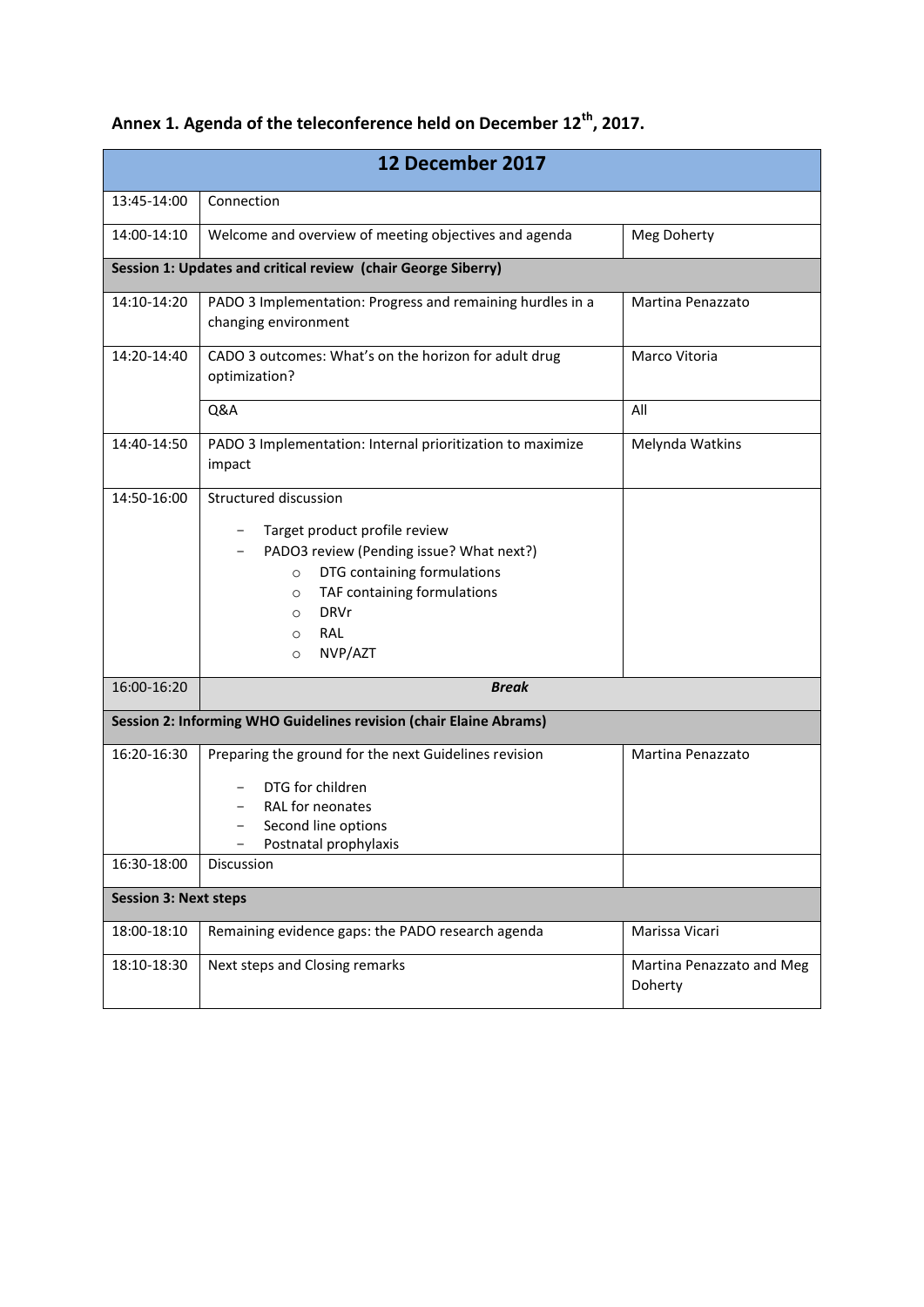| Annex 1. Agenda of the teleconference held on December 12 <sup>th</sup> , 2017. |  |  |  |  |  |  |  |  |
|---------------------------------------------------------------------------------|--|--|--|--|--|--|--|--|
|---------------------------------------------------------------------------------|--|--|--|--|--|--|--|--|

|                              | 12 December 2017                                                                                                                                                                                                                                         |                                      |  |  |
|------------------------------|----------------------------------------------------------------------------------------------------------------------------------------------------------------------------------------------------------------------------------------------------------|--------------------------------------|--|--|
| 13:45-14:00                  | Connection                                                                                                                                                                                                                                               |                                      |  |  |
| 14:00-14:10                  | Welcome and overview of meeting objectives and agenda                                                                                                                                                                                                    | Meg Doherty                          |  |  |
|                              | Session 1: Updates and critical review (chair George Siberry)                                                                                                                                                                                            |                                      |  |  |
| 14:10-14:20                  | PADO 3 Implementation: Progress and remaining hurdles in a<br>Martina Penazzato<br>changing environment                                                                                                                                                  |                                      |  |  |
| 14:20-14:40                  | CADO 3 outcomes: What's on the horizon for adult drug<br>Marco Vitoria<br>optimization?                                                                                                                                                                  |                                      |  |  |
|                              | Q&A                                                                                                                                                                                                                                                      | All                                  |  |  |
| 14:40-14:50                  | PADO 3 Implementation: Internal prioritization to maximize<br>impact                                                                                                                                                                                     | Melynda Watkins                      |  |  |
| 14:50-16:00                  | Structured discussion<br>Target product profile review<br>PADO3 review (Pending issue? What next?)<br>DTG containing formulations<br>$\circ$<br>TAF containing formulations<br>$\circ$<br><b>DRVr</b><br>$\circ$<br>RAL<br>$\circ$<br>NVP/AZT<br>$\circ$ |                                      |  |  |
| 16:00-16:20                  | <b>Break</b>                                                                                                                                                                                                                                             |                                      |  |  |
|                              | Session 2: Informing WHO Guidelines revision (chair Elaine Abrams)                                                                                                                                                                                       |                                      |  |  |
| 16:20-16:30<br>16:30-18:00   | Preparing the ground for the next Guidelines revision<br>Martina Penazzato<br>DTG for children<br>RAL for neonates<br>Second line options<br>Postnatal prophylaxis<br><b>Discussion</b>                                                                  |                                      |  |  |
| <b>Session 3: Next steps</b> |                                                                                                                                                                                                                                                          |                                      |  |  |
|                              |                                                                                                                                                                                                                                                          |                                      |  |  |
| 18:00-18:10                  | Remaining evidence gaps: the PADO research agenda                                                                                                                                                                                                        | Marissa Vicari                       |  |  |
| 18:10-18:30                  | Next steps and Closing remarks                                                                                                                                                                                                                           | Martina Penazzato and Meg<br>Doherty |  |  |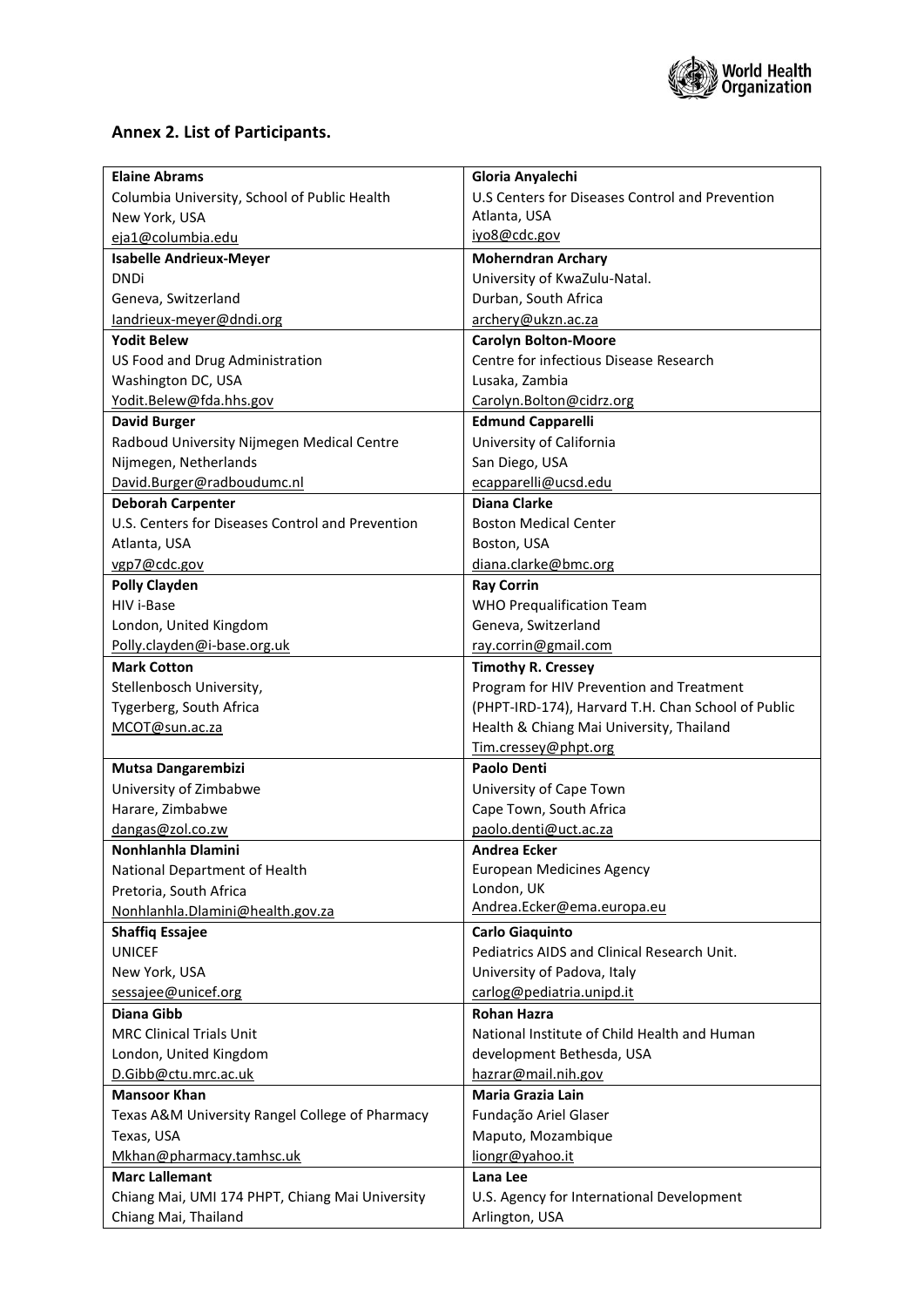

## **Annex 2. List of Participants.**

| <b>Elaine Abrams</b>                             | Gloria Anyalechi                                   |
|--------------------------------------------------|----------------------------------------------------|
| Columbia University, School of Public Health     | U.S Centers for Diseases Control and Prevention    |
| New York, USA                                    | Atlanta, USA                                       |
| eja1@columbia.edu                                | iyo8@cdc.gov                                       |
| <b>Isabelle Andrieux-Meyer</b>                   | <b>Moherndran Archary</b>                          |
| <b>DNDi</b>                                      | University of KwaZulu-Natal.                       |
| Geneva, Switzerland                              | Durban, South Africa                               |
| landrieux-meyer@dndi.org                         | archery@ukzn.ac.za                                 |
| <b>Yodit Belew</b>                               | <b>Carolyn Bolton-Moore</b>                        |
| US Food and Drug Administration                  | Centre for infectious Disease Research             |
| Washington DC, USA                               | Lusaka, Zambia                                     |
| Yodit.Belew@fda.hhs.gov                          | Carolyn.Bolton@cidrz.org                           |
| <b>David Burger</b>                              | <b>Edmund Capparelli</b>                           |
| Radboud University Nijmegen Medical Centre       | University of California                           |
| Nijmegen, Netherlands                            | San Diego, USA                                     |
| David.Burger@radboudumc.nl                       | ecapparelli@ucsd.edu                               |
| <b>Deborah Carpenter</b>                         | <b>Diana Clarke</b>                                |
| U.S. Centers for Diseases Control and Prevention | <b>Boston Medical Center</b>                       |
| Atlanta, USA                                     | Boston, USA                                        |
| vgp7@cdc.gov                                     | diana.clarke@bmc.org                               |
| <b>Polly Clayden</b>                             | <b>Ray Corrin</b>                                  |
| HIV i-Base                                       | <b>WHO Prequalification Team</b>                   |
| London, United Kingdom                           | Geneva, Switzerland                                |
| Polly.clayden@i-base.org.uk                      | ray.corrin@gmail.com                               |
| <b>Mark Cotton</b>                               | <b>Timothy R. Cressey</b>                          |
| Stellenbosch University,                         | Program for HIV Prevention and Treatment           |
| Tygerberg, South Africa                          | (PHPT-IRD-174), Harvard T.H. Chan School of Public |
| MCOT@sun.ac.za                                   | Health & Chiang Mai University, Thailand           |
|                                                  | Tim.cressey@phpt.org                               |
| Mutsa Dangarembizi                               | Paolo Denti                                        |
| University of Zimbabwe                           | University of Cape Town                            |
| Harare, Zimbabwe                                 | Cape Town, South Africa                            |
| dangas@zol.co.zw                                 | paolo.denti@uct.ac.za                              |
| Nonhlanhla Dlamini                               | Andrea Ecker                                       |
| National Department of Health                    | <b>European Medicines Agency</b>                   |
| Pretoria, South Africa                           | London, UK                                         |
| Nonhlanhla.Dlamini@health.gov.za                 | Andrea.Ecker@ema.europa.eu                         |
| <b>Shaffiq Essajee</b>                           | <b>Carlo Giaquinto</b>                             |
| <b>UNICEF</b>                                    | Pediatrics AIDS and Clinical Research Unit.        |
| New York, USA                                    | University of Padova, Italy                        |
| sessajee@unicef.org                              | carlog@pediatria.unipd.it                          |
| <b>Diana Gibb</b>                                | <b>Rohan Hazra</b>                                 |
| <b>MRC Clinical Trials Unit</b>                  | National Institute of Child Health and Human       |
| London, United Kingdom                           | development Bethesda, USA                          |
| D.Gibb@ctu.mrc.ac.uk                             | hazrar@mail.nih.gov                                |
| <b>Mansoor Khan</b>                              | <b>Maria Grazia Lain</b>                           |
| Texas A&M University Rangel College of Pharmacy  | Fundação Ariel Glaser                              |
| Texas, USA                                       | Maputo, Mozambique                                 |
| Mkhan@pharmacy.tamhsc.uk                         | liongr@yahoo.it                                    |
| <b>Marc Lallemant</b>                            | Lana Lee                                           |
| Chiang Mai, UMI 174 PHPT, Chiang Mai University  | U.S. Agency for International Development          |
| Chiang Mai, Thailand                             | Arlington, USA                                     |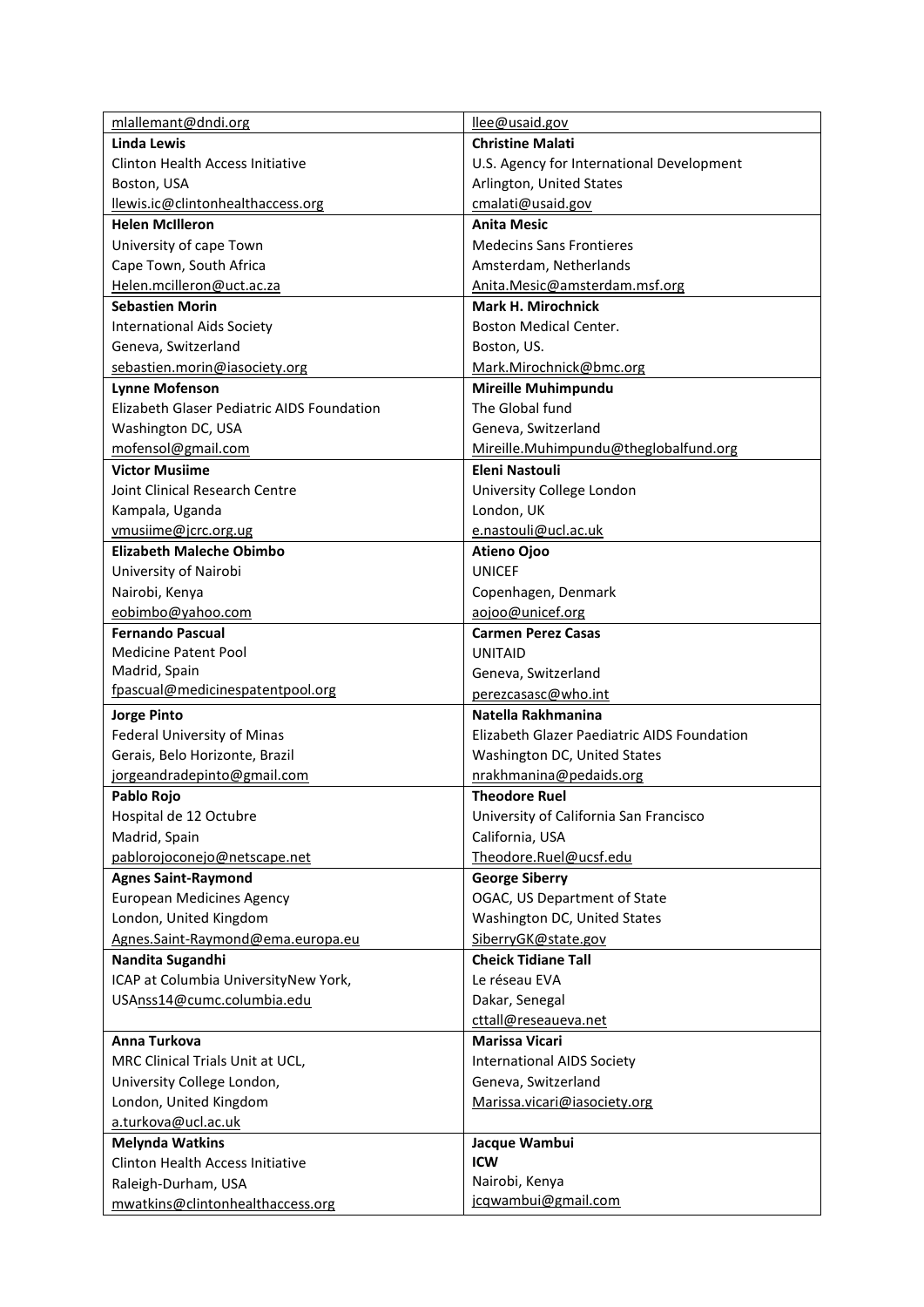| mlallemant@dndi.org                                     | llee@usaid.gov                              |
|---------------------------------------------------------|---------------------------------------------|
| Linda Lewis                                             | <b>Christine Malati</b>                     |
| Clinton Health Access Initiative                        | U.S. Agency for International Development   |
| Boston, USA                                             | Arlington, United States                    |
| llewis.ic@clintonhealthaccess.org                       | cmalati@usaid.gov                           |
| <b>Helen McIlleron</b>                                  | <b>Anita Mesic</b>                          |
| University of cape Town                                 | <b>Medecins Sans Frontieres</b>             |
| Cape Town, South Africa                                 | Amsterdam, Netherlands                      |
| Helen.mcilleron@uct.ac.za                               | Anita.Mesic@amsterdam.msf.org               |
| <b>Sebastien Morin</b>                                  | Mark H. Mirochnick                          |
| <b>International Aids Society</b>                       | <b>Boston Medical Center.</b>               |
| Geneva, Switzerland                                     | Boston, US.                                 |
| sebastien.morin@iasociety.org                           | Mark.Mirochnick@bmc.org                     |
| <b>Lynne Mofenson</b>                                   | <b>Mireille Muhimpundu</b>                  |
| Elizabeth Glaser Pediatric AIDS Foundation              | The Global fund                             |
| Washington DC, USA                                      | Geneva, Switzerland                         |
| mofensol@gmail.com                                      | Mireille.Muhimpundu@theglobalfund.org       |
| <b>Victor Musiime</b>                                   | <b>Eleni Nastouli</b>                       |
| Joint Clinical Research Centre                          | University College London                   |
| Kampala, Uganda                                         | London, UK                                  |
|                                                         |                                             |
| vmusiime@jcrc.org.ug<br><b>Elizabeth Maleche Obimbo</b> | e.nastouli@ucl.ac.uk                        |
|                                                         | <b>Atieno Ojoo</b>                          |
| University of Nairobi                                   | <b>UNICEF</b>                               |
| Nairobi, Kenya                                          | Copenhagen, Denmark                         |
| eobimbo@yahoo.com                                       | aojoo@unicef.org                            |
| <b>Fernando Pascual</b>                                 | <b>Carmen Perez Casas</b>                   |
| <b>Medicine Patent Pool</b>                             | <b>UNITAID</b>                              |
| Madrid, Spain<br>fpascual@medicinespatentpool.org       | Geneva, Switzerland                         |
|                                                         | perezcasasc@who.int                         |
| <b>Jorge Pinto</b>                                      | Natella Rakhmanina                          |
| Federal University of Minas                             | Elizabeth Glazer Paediatric AIDS Foundation |
| Gerais, Belo Horizonte, Brazil                          | Washington DC, United States                |
| jorgeandradepinto@gmail.com                             | nrakhmanina@pedaids.org                     |
| Pablo Rojo                                              | <b>Theodore Ruel</b>                        |
| Hospital de 12 Octubre                                  | University of California San Francisco      |
| Madrid, Spain                                           | California, USA                             |
| pablorojoconejo@netscape.net                            | Theodore.Ruel@ucsf.edu                      |
| <b>Agnes Saint-Raymond</b>                              | <b>George Siberry</b>                       |
| <b>European Medicines Agency</b>                        | OGAC, US Department of State                |
| London, United Kingdom                                  | Washington DC, United States                |
| Agnes.Saint-Raymond@ema.europa.eu                       | SiberryGK@state.gov                         |
| Nandita Sugandhi                                        | <b>Cheick Tidiane Tall</b>                  |
| ICAP at Columbia UniversityNew York,                    | Le réseau EVA                               |
| USAnss14@cumc.columbia.edu                              | Dakar, Senegal                              |
|                                                         | cttall@reseaueva.net                        |
| Anna Turkova                                            | <b>Marissa Vicari</b>                       |
| MRC Clinical Trials Unit at UCL,                        | <b>International AIDS Society</b>           |
| University College London,                              | Geneva, Switzerland                         |
| London, United Kingdom                                  | Marissa.vicari@iasociety.org                |
| a.turkova@ucl.ac.uk                                     |                                             |
| <b>Melynda Watkins</b>                                  | Jacque Wambui                               |
| <b>Clinton Health Access Initiative</b>                 | ICW                                         |
| Raleigh-Durham, USA                                     | Nairobi, Kenya                              |
| mwatkins@clintonhealthaccess.org                        | jcqwambui@gmail.com                         |